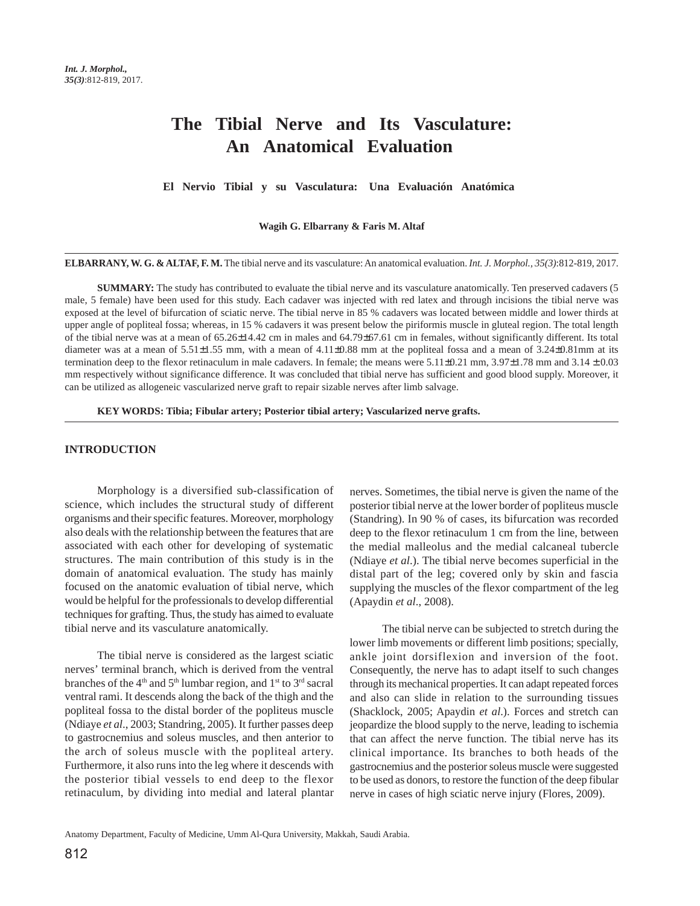# **The Tibial Nerve and Its Vasculature: An Anatomical Evaluation**

#### **El Nervio Tibial y su Vasculatura: Una Evaluación Anatómica**

**Wagih G. Elbarrany & Faris M. Altaf**

**ELBARRANY, W. G. & ALTAF, F. M.** The tibial nerve and its vasculature: An anatomical evaluation. *Int. J. Morphol., 35(3)*:812-819, 2017.

**SUMMARY:** The study has contributed to evaluate the tibial nerve and its vasculature anatomically. Ten preserved cadavers (5 male, 5 female) have been used for this study. Each cadaver was injected with red latex and through incisions the tibial nerve was exposed at the level of bifurcation of sciatic nerve. The tibial nerve in 85 % cadavers was located between middle and lower thirds at upper angle of popliteal fossa; whereas, in 15 % cadavers it was present below the piriformis muscle in gluteal region. The total length of the tibial nerve was at a mean of 65.26±14.42 cm in males and 64.79±67.61 cm in females, without significantly different. Its total diameter was at a mean of 5.51±1.55 mm, with a mean of 4.11±0.88 mm at the popliteal fossa and a mean of 3.24±0.81mm at its termination deep to the flexor retinaculum in male cadavers. In female; the means were 5.11±0.21 mm, 3.97±1.78 mm and 3.14 ± 0.03 mm respectively without significance difference. It was concluded that tibial nerve has sufficient and good blood supply. Moreover, it can be utilized as allogeneic vascularized nerve graft to repair sizable nerves after limb salvage.

**KEY WORDS: Tibia; Fibular artery; Posterior tibial artery; Vascularized nerve grafts.**

### **INTRODUCTION**

Morphology is a diversified sub-classification of science, which includes the structural study of different organisms and their specific features. Moreover, morphology also deals with the relationship between the features that are associated with each other for developing of systematic structures. The main contribution of this study is in the domain of anatomical evaluation. The study has mainly focused on the anatomic evaluation of tibial nerve, which would be helpful for the professionals to develop differential techniques for grafting. Thus, the study has aimed to evaluate tibial nerve and its vasculature anatomically.

The tibial nerve is considered as the largest sciatic nerves' terminal branch, which is derived from the ventral branches of the  $4<sup>th</sup>$  and  $5<sup>th</sup>$  lumbar region, and  $1<sup>st</sup>$  to  $3<sup>rd</sup>$  sacral ventral rami. It descends along the back of the thigh and the popliteal fossa to the distal border of the popliteus muscle (Ndiaye *et al*., 2003; Standring, 2005). It further passes deep to gastrocnemius and soleus muscles, and then anterior to the arch of soleus muscle with the popliteal artery. Furthermore, it also runs into the leg where it descends with the posterior tibial vessels to end deep to the flexor retinaculum, by dividing into medial and lateral plantar

nerves. Sometimes, the tibial nerve is given the name of the posterior tibial nerve at the lower border of popliteus muscle (Standring). In 90 % of cases, its bifurcation was recorded deep to the flexor retinaculum 1 cm from the line, between the medial malleolus and the medial calcaneal tubercle (Ndiaye *et al*.). The tibial nerve becomes superficial in the distal part of the leg; covered only by skin and fascia supplying the muscles of the flexor compartment of the leg (Apaydin *et al*., 2008).

The tibial nerve can be subjected to stretch during the lower limb movements or different limb positions; specially, ankle joint dorsiflexion and inversion of the foot. Consequently, the nerve has to adapt itself to such changes through its mechanical properties. It can adapt repeated forces and also can slide in relation to the surrounding tissues (Shacklock, 2005; Apaydin *et al*.). Forces and stretch can jeopardize the blood supply to the nerve, leading to ischemia that can affect the nerve function. The tibial nerve has its clinical importance. Its branches to both heads of the gastrocnemius and the posterior soleus muscle were suggested to be used as donors, to restore the function of the deep fibular nerve in cases of high sciatic nerve injury (Flores, 2009).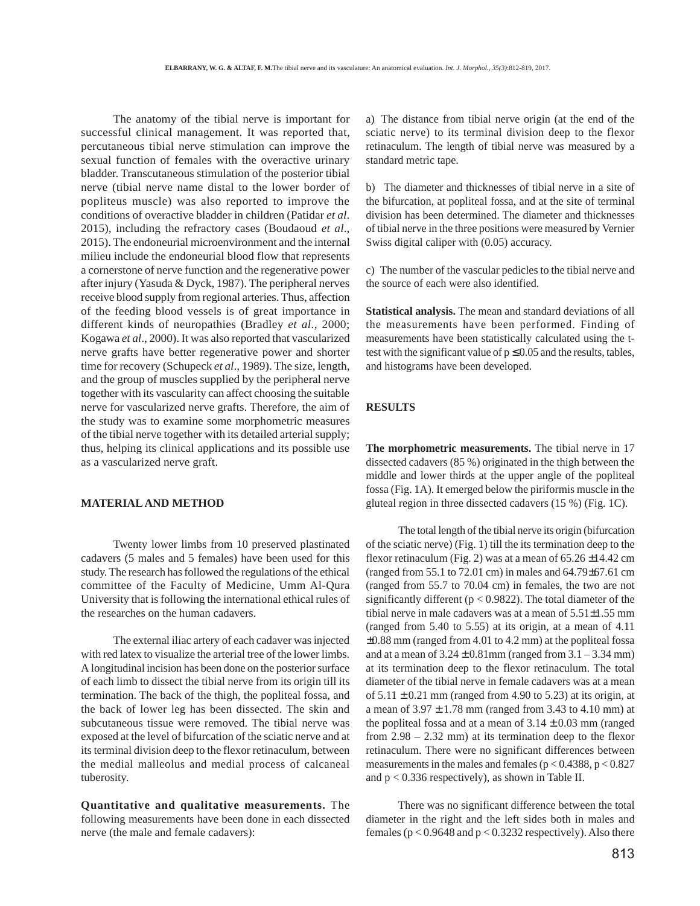The anatomy of the tibial nerve is important for successful clinical management. It was reported that, percutaneous tibial nerve stimulation can improve the sexual function of females with the overactive urinary bladder. Transcutaneous stimulation of the posterior tibial nerve (tibial nerve name distal to the lower border of popliteus muscle) was also reported to improve the conditions of overactive bladder in children (Patidar *et al*. 2015), including the refractory cases (Boudaoud *et al*., 2015). The endoneurial microenvironment and the internal milieu include the endoneurial blood flow that represents a cornerstone of nerve function and the regenerative power after injury (Yasuda & Dyck, 1987). The peripheral nerves receive blood supply from regional arteries. Thus, affection of the feeding blood vessels is of great importance in different kinds of neuropathies (Bradley *et al*., 2000; Kogawa *et al*., 2000). It was also reported that vascularized nerve grafts have better regenerative power and shorter time for recovery (Schupeck *et al*., 1989). The size, length, and the group of muscles supplied by the peripheral nerve together with its vascularity can affect choosing the suitable nerve for vascularized nerve grafts. Therefore, the aim of the study was to examine some morphometric measures of the tibial nerve together with its detailed arterial supply; thus, helping its clinical applications and its possible use as a vascularized nerve graft.

## **MATERIAL AND METHOD**

Twenty lower limbs from 10 preserved plastinated cadavers (5 males and 5 females) have been used for this study. The research has followed the regulations of the ethical committee of the Faculty of Medicine, Umm Al-Qura University that is following the international ethical rules of the researches on the human cadavers.

The external iliac artery of each cadaver was injected with red latex to visualize the arterial tree of the lower limbs. A longitudinal incision has been done on the posterior surface of each limb to dissect the tibial nerve from its origin till its termination. The back of the thigh, the popliteal fossa, and the back of lower leg has been dissected. The skin and subcutaneous tissue were removed. The tibial nerve was exposed at the level of bifurcation of the sciatic nerve and at its terminal division deep to the flexor retinaculum, between the medial malleolus and medial process of calcaneal tuberosity.

**Quantitative and qualitative measurements.** The following measurements have been done in each dissected nerve (the male and female cadavers):

a) The distance from tibial nerve origin (at the end of the sciatic nerve) to its terminal division deep to the flexor retinaculum. The length of tibial nerve was measured by a standard metric tape.

b) The diameter and thicknesses of tibial nerve in a site of the bifurcation, at popliteal fossa, and at the site of terminal division has been determined. The diameter and thicknesses of tibial nerve in the three positions were measured by Vernier Swiss digital caliper with (0.05) accuracy.

c) The number of the vascular pedicles to the tibial nerve and the source of each were also identified.

**Statistical analysis.** The mean and standard deviations of all the measurements have been performed. Finding of measurements have been statistically calculated using the ttest with the significant value of  $p \le 0.05$  and the results, tables, and histograms have been developed.

#### **RESULTS**

**The morphometric measurements.** The tibial nerve in 17 dissected cadavers (85 %) originated in the thigh between the middle and lower thirds at the upper angle of the popliteal fossa (Fig. 1A). It emerged below the piriformis muscle in the gluteal region in three dissected cadavers (15 %) (Fig. 1C).

The total length of the tibial nerve its origin (bifurcation of the sciatic nerve) (Fig. 1) till the its termination deep to the flexor retinaculum (Fig. 2) was at a mean of  $65.26 \pm 14.42$  cm (ranged from 55.1 to 72.01 cm) in males and 64.79±67.61 cm (ranged from 55.7 to 70.04 cm) in females, the two are not significantly different ( $p < 0.9822$ ). The total diameter of the tibial nerve in male cadavers was at a mean of 5.51±1.55 mm (ranged from 5.40 to 5.55) at its origin, at a mean of 4.11 ±0.88 mm (ranged from 4.01 to 4.2 mm) at the popliteal fossa and at a mean of  $3.24 \pm 0.81$  mm (ranged from  $3.1 - 3.34$  mm) at its termination deep to the flexor retinaculum. The total diameter of the tibial nerve in female cadavers was at a mean of  $5.11 \pm 0.21$  mm (ranged from 4.90 to 5.23) at its origin, at a mean of  $3.97 \pm 1.78$  mm (ranged from 3.43 to 4.10 mm) at the popliteal fossa and at a mean of  $3.14 \pm 0.03$  mm (ranged from 2.98 – 2.32 mm) at its termination deep to the flexor retinaculum. There were no significant differences between measurements in the males and females ( $p < 0.4388$ ,  $p < 0.827$ ) and  $p < 0.336$  respectively), as shown in Table II.

There was no significant difference between the total diameter in the right and the left sides both in males and females ( $p < 0.9648$  and  $p < 0.3232$  respectively). Also there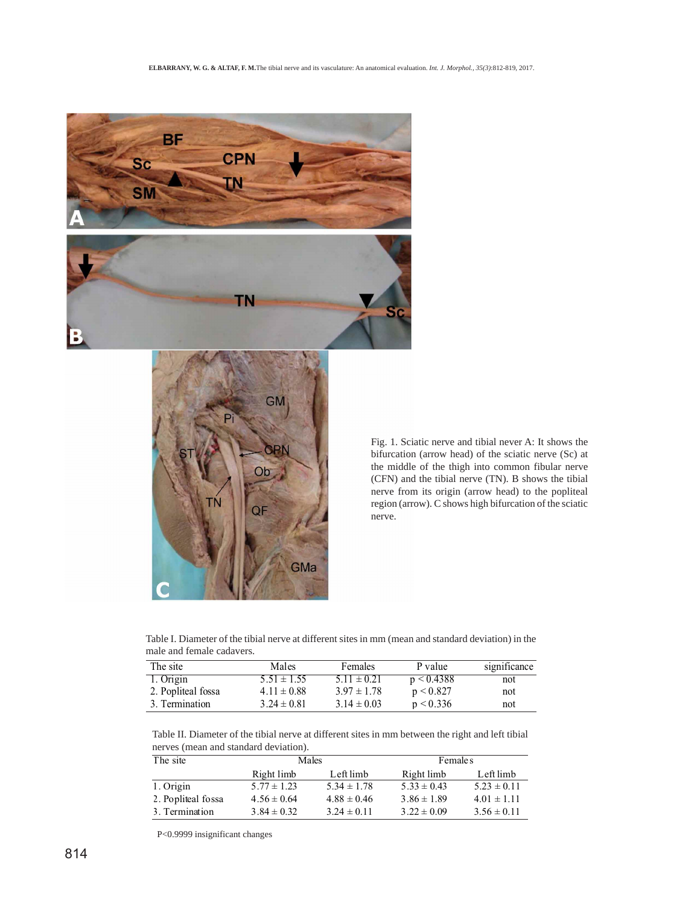



Fig. 1. Sciatic nerve and tibial never A: It shows the bifurcation (arrow head) of the sciatic nerve (Sc) at the middle of the thigh into common fibular nerve (CFN) and the tibial nerve (TN). B shows the tibial nerve from its origin (arrow head) to the popliteal region (arrow). C shows high bifurcation of the sciatic nerve.

Table I. Diameter of the tibial nerve at different sites in mm (mean and standard deviation) in the male and female cadavers.

| The site           | Males           | Females         | P value    | significance |
|--------------------|-----------------|-----------------|------------|--------------|
| 1. Origin          | $5.51 \pm 1.55$ | $5.11 \pm 0.21$ | p < 0.4388 | not          |
| 2. Popliteal fossa | $4.11 \pm 0.88$ | $3.97 \pm 1.78$ | p < 0.827  | not          |
| 3. Termination     | $3.24 \pm 0.81$ | $3.14 \pm 0.03$ | p < 0.336  | not          |

Table II. Diameter of the tibial nerve at different sites in mm between the right and left tibial nerves (mean and standard deviation).

| The site           | Males           |                 | Female <sub>s</sub> |                 |
|--------------------|-----------------|-----------------|---------------------|-----------------|
|                    | Right limb      | Left limb       | Right limb          | Left limb       |
| 1. Origin          | $5.77 \pm 1.23$ | $5.34 \pm 1.78$ | $5.33 \pm 0.43$     | $5.23 \pm 0.11$ |
| 2. Popliteal fossa | $4.56 \pm 0.64$ | $4.88 \pm 0.46$ | $3.86 \pm 1.89$     | $4.01 \pm 1.11$ |
| 3. Termination     | $3.84 \pm 0.32$ | $3.24 \pm 0.11$ | $3.22 \pm 0.09$     | $3.56 \pm 0.11$ |

P<0.9999 insignificant changes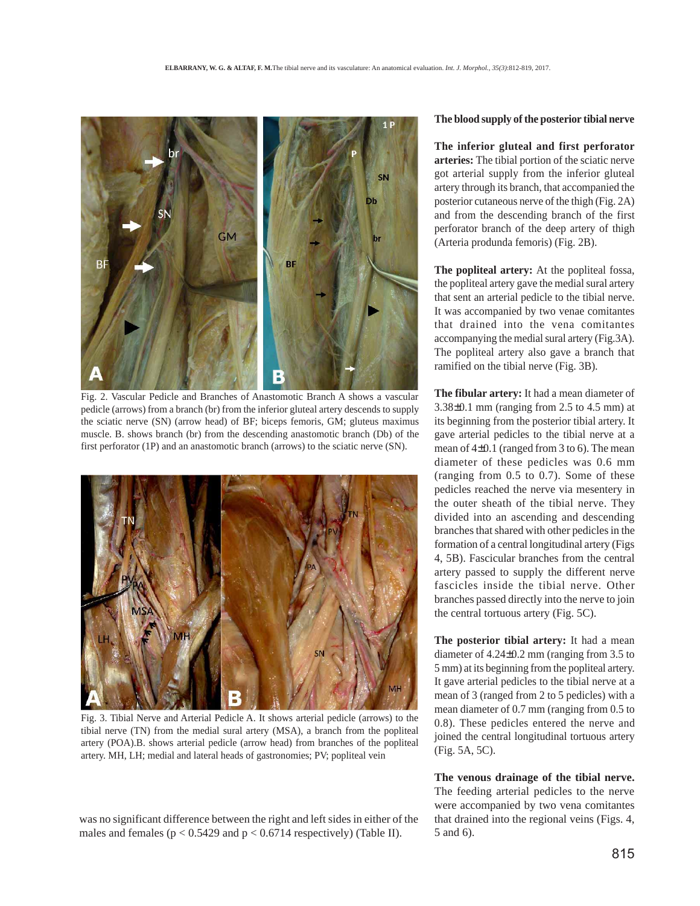

Fig. 2. Vascular Pedicle and Branches of Anastomotic Branch A shows a vascular pedicle (arrows) from a branch (br) from the inferior gluteal artery descends to supply the sciatic nerve (SN) (arrow head) of BF; biceps femoris, GM; gluteus maximus muscle. B. shows branch (br) from the descending anastomotic branch (Db) of the first perforator (1P) and an anastomotic branch (arrows) to the sciatic nerve (SN).



Fig. 3. Tibial Nerve and Arterial Pedicle A. It shows arterial pedicle (arrows) to the tibial nerve (TN) from the medial sural artery (MSA), a branch from the popliteal artery (POA).B. shows arterial pedicle (arrow head) from branches of the popliteal artery. MH, LH; medial and lateral heads of gastronomies; PV; popliteal vein

was no significant difference between the right and left sides in either of the males and females ( $p < 0.5429$  and  $p < 0.6714$  respectively) (Table II).

### **The blood supply of the posterior tibial nerve**

**The inferior gluteal and first perforator arteries:** The tibial portion of the sciatic nerve got arterial supply from the inferior gluteal artery through its branch, that accompanied the posterior cutaneous nerve of the thigh (Fig. 2A) and from the descending branch of the first perforator branch of the deep artery of thigh (Arteria produnda femoris) (Fig. 2B).

**The popliteal artery:** At the popliteal fossa, the popliteal artery gave the medial sural artery that sent an arterial pedicle to the tibial nerve. It was accompanied by two venae comitantes that drained into the vena comitantes accompanying the medial sural artery (Fig.3A). The popliteal artery also gave a branch that ramified on the tibial nerve (Fig. 3B).

**The fibular artery:** It had a mean diameter of 3.38±0.1 mm (ranging from 2.5 to 4.5 mm) at its beginning from the posterior tibial artery. It gave arterial pedicles to the tibial nerve at a mean of 4±0.1 (ranged from 3 to 6). The mean diameter of these pedicles was 0.6 mm (ranging from 0.5 to 0.7). Some of these pedicles reached the nerve via mesentery in the outer sheath of the tibial nerve. They divided into an ascending and descending branches that shared with other pedicles in the formation of a central longitudinal artery (Figs 4, 5B). Fascicular branches from the central artery passed to supply the different nerve fascicles inside the tibial nerve. Other branches passed directly into the nerve to join the central tortuous artery (Fig. 5C).

**The posterior tibial artery:** It had a mean diameter of 4.24±0.2 mm (ranging from 3.5 to 5 mm) at its beginning from the popliteal artery. It gave arterial pedicles to the tibial nerve at a mean of 3 (ranged from 2 to 5 pedicles) with a mean diameter of 0.7 mm (ranging from 0.5 to 0.8). These pedicles entered the nerve and joined the central longitudinal tortuous artery (Fig. 5A, 5C).

**The venous drainage of the tibial nerve.** The feeding arterial pedicles to the nerve were accompanied by two vena comitantes that drained into the regional veins (Figs. 4, 5 and 6).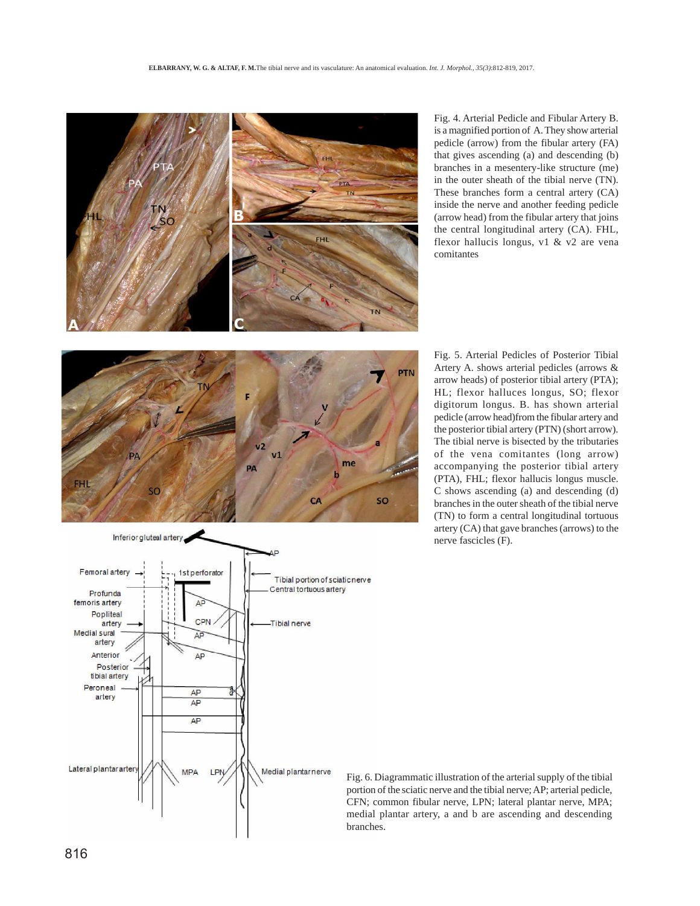

Fig. 4. Arterial Pedicle and Fibular Artery B. is a magnified portion of A. They show arterial pedicle (arrow) from the fibular artery (FA) that gives ascending (a) and descending (b) branches in a mesentery-like structure (me) in the outer sheath of the tibial nerve (TN). These branches form a central artery (CA) inside the nerve and another feeding pedicle (arrow head) from the fibular artery that joins the central longitudinal artery (CA). FHL, flexor hallucis longus, v1 & v2 are vena comitantes







Fig. 6. Diagrammatic illustration of the arterial supply of the tibial portion of the sciatic nerve and the tibial nerve; AP; arterial pedicle, CFN; common fibular nerve, LPN; lateral plantar nerve, MPA; medial plantar artery, a and b are ascending and descending branches.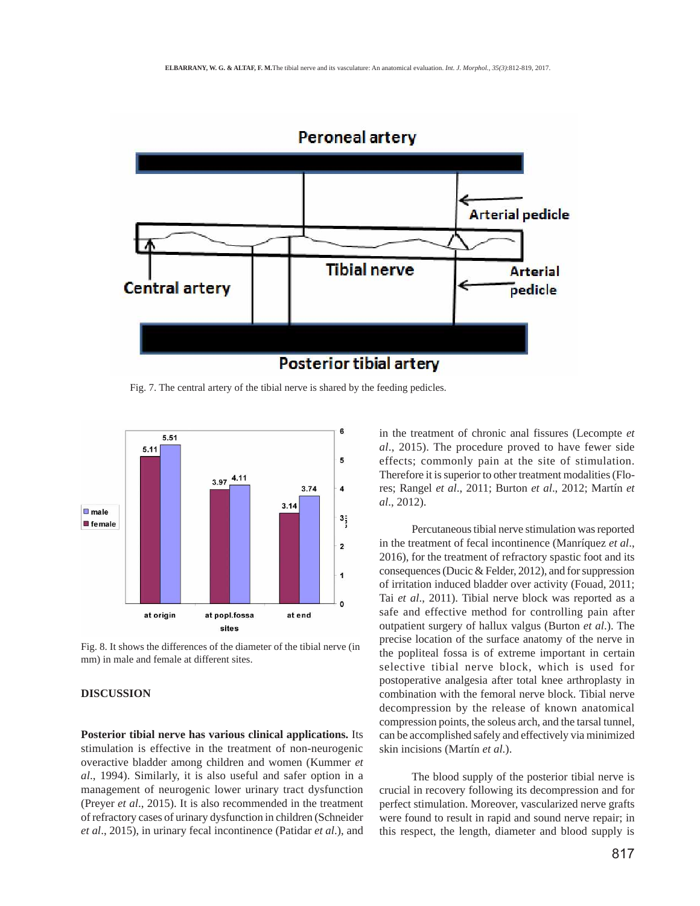

Fig. 7. The central artery of the tibial nerve is shared by the feeding pedicles.



Fig. 8. It shows the differences of the diameter of the tibial nerve (in mm) in male and female at different sites.

## **DISCUSSION**

**Posterior tibial nerve has various clinical applications.** Its stimulation is effective in the treatment of non-neurogenic overactive bladder among children and women (Kummer *et al*., 1994). Similarly, it is also useful and safer option in a management of neurogenic lower urinary tract dysfunction (Preyer *et al*., 2015). It is also recommended in the treatment of refractory cases of urinary dysfunction in children (Schneider *et al*., 2015), in urinary fecal incontinence (Patidar *et al*.), and in the treatment of chronic anal fissures (Lecompte *et al*., 2015). The procedure proved to have fewer side effects; commonly pain at the site of stimulation. Therefore it is superior to other treatment modalities (Flores; Rangel *et al*., 2011; Burton *et al*., 2012; Martín *et al*., 2012).

Percutaneous tibial nerve stimulation was reported in the treatment of fecal incontinence (Manríquez *et al*., 2016), for the treatment of refractory spastic foot and its consequences (Ducic & Felder, 2012), and for suppression of irritation induced bladder over activity (Fouad, 2011; Tai *et al*., 2011). Tibial nerve block was reported as a safe and effective method for controlling pain after outpatient surgery of hallux valgus (Burton *et al*.). The precise location of the surface anatomy of the nerve in the popliteal fossa is of extreme important in certain selective tibial nerve block, which is used for postoperative analgesia after total knee arthroplasty in combination with the femoral nerve block. Tibial nerve decompression by the release of known anatomical compression points, the soleus arch, and the tarsal tunnel, can be accomplished safely and effectively via minimized skin incisions (Martín *et al*.).

The blood supply of the posterior tibial nerve is crucial in recovery following its decompression and for perfect stimulation. Moreover, vascularized nerve grafts were found to result in rapid and sound nerve repair; in this respect, the length, diameter and blood supply is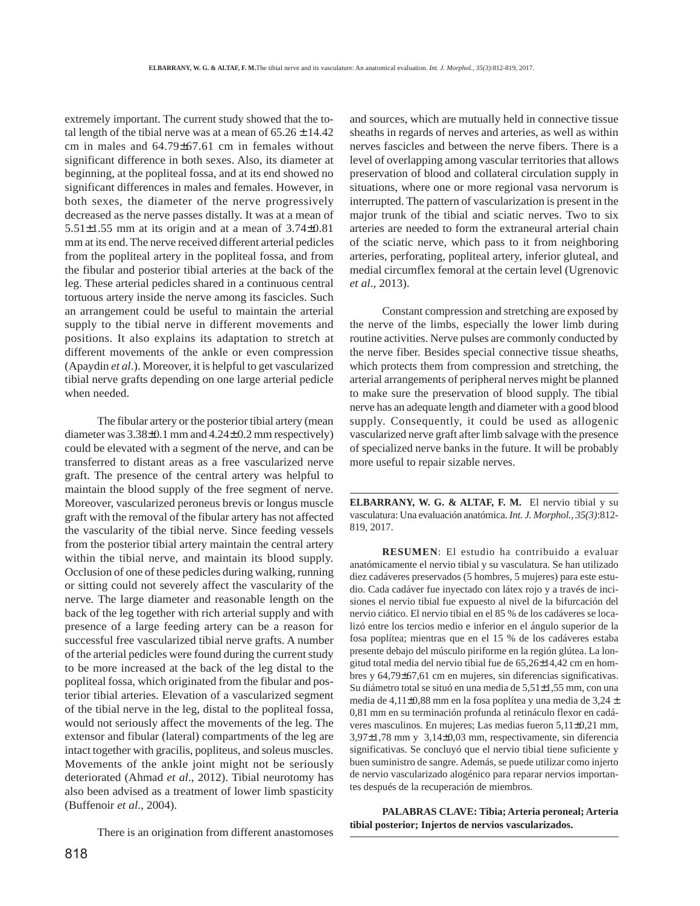extremely important. The current study showed that the total length of the tibial nerve was at a mean of  $65.26 \pm 14.42$ cm in males and 64.79±67.61 cm in females without significant difference in both sexes. Also, its diameter at beginning, at the popliteal fossa, and at its end showed no significant differences in males and females. However, in both sexes, the diameter of the nerve progressively decreased as the nerve passes distally. It was at a mean of 5.51±1.55 mm at its origin and at a mean of 3.74±0.81 mm at its end. The nerve received different arterial pedicles from the popliteal artery in the popliteal fossa, and from the fibular and posterior tibial arteries at the back of the leg. These arterial pedicles shared in a continuous central tortuous artery inside the nerve among its fascicles. Such an arrangement could be useful to maintain the arterial supply to the tibial nerve in different movements and positions. It also explains its adaptation to stretch at different movements of the ankle or even compression (Apaydin *et al*.). Moreover, it is helpful to get vascularized tibial nerve grafts depending on one large arterial pedicle when needed.

The fibular artery or the posterior tibial artery (mean diameter was 3.38±0.1 mm and 4.24± 0.2 mm respectively) could be elevated with a segment of the nerve, and can be transferred to distant areas as a free vascularized nerve graft. The presence of the central artery was helpful to maintain the blood supply of the free segment of nerve. Moreover, vascularized peroneus brevis or longus muscle graft with the removal of the fibular artery has not affected the vascularity of the tibial nerve. Since feeding vessels from the posterior tibial artery maintain the central artery within the tibial nerve, and maintain its blood supply. Occlusion of one of these pedicles during walking, running or sitting could not severely affect the vascularity of the nerve. The large diameter and reasonable length on the back of the leg together with rich arterial supply and with presence of a large feeding artery can be a reason for successful free vascularized tibial nerve grafts. A number of the arterial pedicles were found during the current study to be more increased at the back of the leg distal to the popliteal fossa, which originated from the fibular and posterior tibial arteries. Elevation of a vascularized segment of the tibial nerve in the leg, distal to the popliteal fossa, would not seriously affect the movements of the leg. The extensor and fibular (lateral) compartments of the leg are intact together with gracilis, popliteus, and soleus muscles. Movements of the ankle joint might not be seriously deteriorated (Ahmad *et al*., 2012). Tibial neurotomy has also been advised as a treatment of lower limb spasticity (Buffenoir *et al*., 2004).

There is an origination from different anastomoses

and sources, which are mutually held in connective tissue sheaths in regards of nerves and arteries, as well as within nerves fascicles and between the nerve fibers. There is a level of overlapping among vascular territories that allows preservation of blood and collateral circulation supply in situations, where one or more regional vasa nervorum is interrupted. The pattern of vascularization is present in the major trunk of the tibial and sciatic nerves. Two to six arteries are needed to form the extraneural arterial chain of the sciatic nerve, which pass to it from neighboring arteries, perforating, popliteal artery, inferior gluteal, and medial circumflex femoral at the certain level (Ugrenovic *et al*., 2013).

Constant compression and stretching are exposed by the nerve of the limbs, especially the lower limb during routine activities. Nerve pulses are commonly conducted by the nerve fiber. Besides special connective tissue sheaths, which protects them from compression and stretching, the arterial arrangements of peripheral nerves might be planned to make sure the preservation of blood supply. The tibial nerve has an adequate length and diameter with a good blood supply. Consequently, it could be used as allogenic vascularized nerve graft after limb salvage with the presence of specialized nerve banks in the future. It will be probably more useful to repair sizable nerves.

**ELBARRANY, W. G. & ALTAF, F. M.** El nervio tibial y su vasculatura: Una evaluación anatómica. *Int. J. Morphol., 35(3)*:812- 819, 2017.

**RESUMEN**: El estudio ha contribuido a evaluar anatómicamente el nervio tibial y su vasculatura. Se han utilizado diez cadáveres preservados (5 hombres, 5 mujeres) para este estudio. Cada cadáver fue inyectado con látex rojo y a través de incisiones el nervio tibial fue expuesto al nivel de la bifurcación del nervio ciático. El nervio tibial en el 85 % de los cadáveres se localizó entre los tercios medio e inferior en el ángulo superior de la fosa poplítea; mientras que en el 15 % de los cadáveres estaba presente debajo del músculo piriforme en la región glútea. La longitud total media del nervio tibial fue de 65,26±14,42 cm en hombres y 64,79±67,61 cm en mujeres, sin diferencias significativas. Su diámetro total se situó en una media de 5,51±1,55 mm, con una media de 4,11±0,88 mm en la fosa poplítea y una media de 3,24 ± 0,81 mm en su terminación profunda al retináculo flexor en cadáveres masculinos. En mujeres; Las medias fueron 5,11±0,21 mm, 3,97±1,78 mm y 3,14±0,03 mm, respectivamente, sin diferencia significativas. Se concluyó que el nervio tibial tiene suficiente y buen suministro de sangre. Además, se puede utilizar como injerto de nervio vascularizado alogénico para reparar nervios importantes después de la recuperación de miembros.

**PALABRAS CLAVE: Tibia; Arteria peroneal; Arteria tibial posterior; Injertos de nervios vascularizados.**